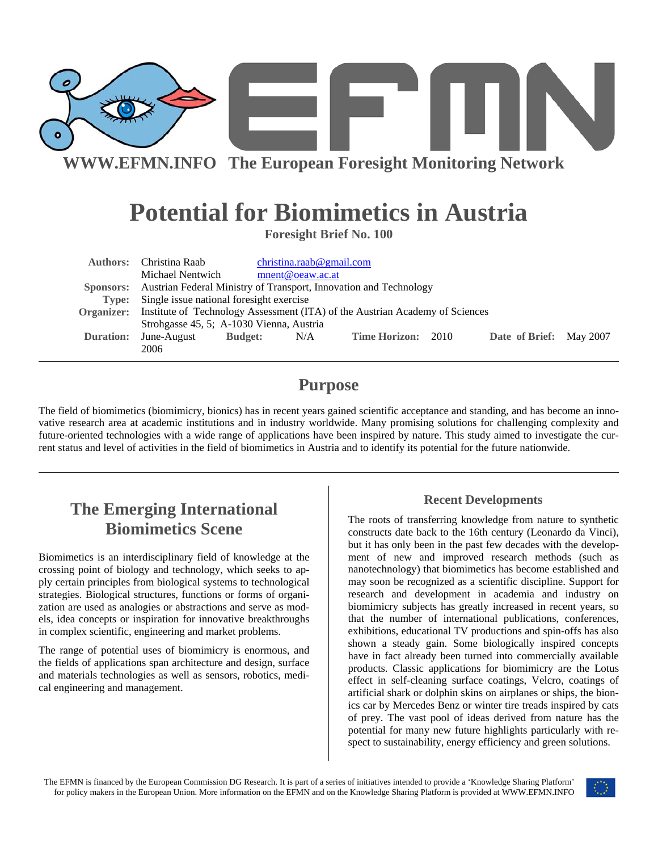

# **Potential for Biomimetics in Austria**

**Foresight Brief No. 100** 

|                  | <b>Authors:</b> Christina Raab                                                                 |                | christina.reado@gmail.com |                           |  |                         |  |  |
|------------------|------------------------------------------------------------------------------------------------|----------------|---------------------------|---------------------------|--|-------------------------|--|--|
|                  | Michael Nentwich                                                                               |                | mnent@oeaw.ac.at          |                           |  |                         |  |  |
|                  | Sponsors: Austrian Federal Ministry of Transport, Innovation and Technology                    |                |                           |                           |  |                         |  |  |
|                  | Type: Single issue national foresight exercise                                                 |                |                           |                           |  |                         |  |  |
|                  | <b>Organizer:</b> Institute of Technology Assessment (ITA) of the Austrian Academy of Sciences |                |                           |                           |  |                         |  |  |
|                  | Strohgasse 45, 5; A-1030 Vienna, Austria                                                       |                |                           |                           |  |                         |  |  |
| <b>Duration:</b> | June-August                                                                                    | <b>Budget:</b> | N/A                       | <b>Time Horizon: 2010</b> |  | Date of Brief: May 2007 |  |  |
|                  | 2006                                                                                           |                |                           |                           |  |                         |  |  |

### **Purpose**

The field of biomimetics (biomimicry, bionics) has in recent years gained scientific acceptance and standing, and has become an innovative research area at academic institutions and in industry worldwide. Many promising solutions for challenging complexity and future-oriented technologies with a wide range of applications have been inspired by nature. This study aimed to investigate the current status and level of activities in the field of biomimetics in Austria and to identify its potential for the future nationwide.

# **The Emerging International Biomimetics Scene**

Biomimetics is an interdisciplinary field of knowledge at the crossing point of biology and technology, which seeks to apply certain principles from biological systems to technological strategies. Biological structures, functions or forms of organization are used as analogies or abstractions and serve as models, idea concepts or inspiration for innovative breakthroughs in complex scientific, engineering and market problems.

The range of potential uses of biomimicry is enormous, and the fields of applications span architecture and design, surface and materials technologies as well as sensors, robotics, medical engineering and management.

#### **Recent Developments**

The roots of transferring knowledge from nature to synthetic constructs date back to the 16th century (Leonardo da Vinci), but it has only been in the past few decades with the development of new and improved research methods (such as nanotechnology) that biomimetics has become established and may soon be recognized as a scientific discipline. Support for research and development in academia and industry on biomimicry subjects has greatly increased in recent years, so that the number of international publications, conferences, exhibitions, educational TV productions and spin-offs has also shown a steady gain. Some biologically inspired concepts have in fact already been turned into commercially available products. Classic applications for biomimicry are the Lotus effect in self-cleaning surface coatings, Velcro, coatings of artificial shark or dolphin skins on airplanes or ships, the bionics car by Mercedes Benz or winter tire treads inspired by cats of prey. The vast pool of ideas derived from nature has the potential for many new future highlights particularly with respect to sustainability, energy efficiency and green solutions.

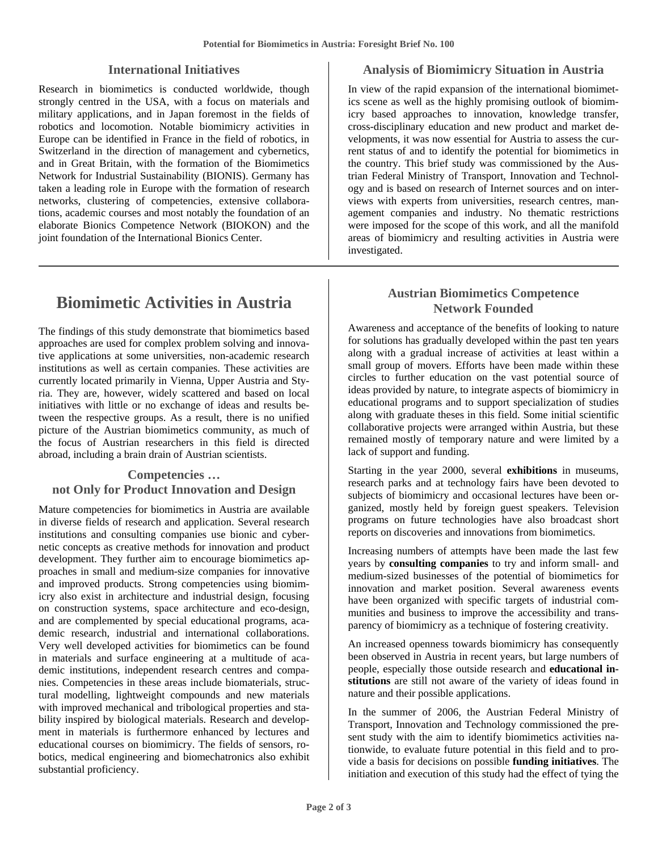#### **International Initiatives**

Research in biomimetics is conducted worldwide, though strongly centred in the USA, with a focus on materials and military applications, and in Japan foremost in the fields of robotics and locomotion. Notable biomimicry activities in Europe can be identified in France in the field of robotics, in Switzerland in the direction of management and cybernetics, and in Great Britain, with the formation of the Biomimetics Network for Industrial Sustainability (BIONIS). Germany has taken a leading role in Europe with the formation of research networks, clustering of competencies, extensive collaborations, academic courses and most notably the foundation of an elaborate Bionics Competence Network (BIOKON) and the joint foundation of the International Bionics Center.

## **Biomimetic Activities in Austria**

The findings of this study demonstrate that biomimetics based approaches are used for complex problem solving and innovative applications at some universities, non-academic research institutions as well as certain companies. These activities are currently located primarily in Vienna, Upper Austria and Styria. They are, however, widely scattered and based on local initiatives with little or no exchange of ideas and results between the respective groups. As a result, there is no unified picture of the Austrian biomimetics community, as much of the focus of Austrian researchers in this field is directed abroad, including a brain drain of Austrian scientists.

#### **Competencies … not Only for Product Innovation and Design**

Mature competencies for biomimetics in Austria are available in diverse fields of research and application. Several research institutions and consulting companies use bionic and cybernetic concepts as creative methods for innovation and product development. They further aim to encourage biomimetics approaches in small and medium-size companies for innovative and improved products. Strong competencies using biomimicry also exist in architecture and industrial design, focusing on construction systems, space architecture and eco-design, and are complemented by special educational programs, academic research, industrial and international collaborations. Very well developed activities for biomimetics can be found in materials and surface engineering at a multitude of academic institutions, independent research centres and companies. Competencies in these areas include biomaterials, structural modelling, lightweight compounds and new materials with improved mechanical and tribological properties and stability inspired by biological materials. Research and development in materials is furthermore enhanced by lectures and educational courses on biomimicry. The fields of sensors, robotics, medical engineering and biomechatronics also exhibit substantial proficiency.

#### **Analysis of Biomimicry Situation in Austria**

In view of the rapid expansion of the international biomimetics scene as well as the highly promising outlook of biomimicry based approaches to innovation, knowledge transfer, cross-disciplinary education and new product and market developments, it was now essential for Austria to assess the current status of and to identify the potential for biomimetics in the country. This brief study was commissioned by the Austrian Federal Ministry of Transport, Innovation and Technology and is based on research of Internet sources and on interviews with experts from universities, research centres, management companies and industry. No thematic restrictions were imposed for the scope of this work, and all the manifold areas of biomimicry and resulting activities in Austria were investigated.

#### **Austrian Biomimetics Competence Network Founded**

Awareness and acceptance of the benefits of looking to nature for solutions has gradually developed within the past ten years along with a gradual increase of activities at least within a small group of movers. Efforts have been made within these circles to further education on the vast potential source of ideas provided by nature, to integrate aspects of biomimicry in educational programs and to support specialization of studies along with graduate theses in this field. Some initial scientific collaborative projects were arranged within Austria, but these remained mostly of temporary nature and were limited by a lack of support and funding.

Starting in the year 2000, several **exhibitions** in museums, research parks and at technology fairs have been devoted to subjects of biomimicry and occasional lectures have been organized, mostly held by foreign guest speakers. Television programs on future technologies have also broadcast short reports on discoveries and innovations from biomimetics.

Increasing numbers of attempts have been made the last few years by **consulting companies** to try and inform small- and medium-sized businesses of the potential of biomimetics for innovation and market position. Several awareness events have been organized with specific targets of industrial communities and business to improve the accessibility and transparency of biomimicry as a technique of fostering creativity.

An increased openness towards biomimicry has consequently been observed in Austria in recent years, but large numbers of people, especially those outside research and **educational institutions** are still not aware of the variety of ideas found in nature and their possible applications.

In the summer of 2006, the Austrian Federal Ministry of Transport, Innovation and Technology commissioned the present study with the aim to identify biomimetics activities nationwide, to evaluate future potential in this field and to provide a basis for decisions on possible **funding initiatives**. The initiation and execution of this study had the effect of tying the